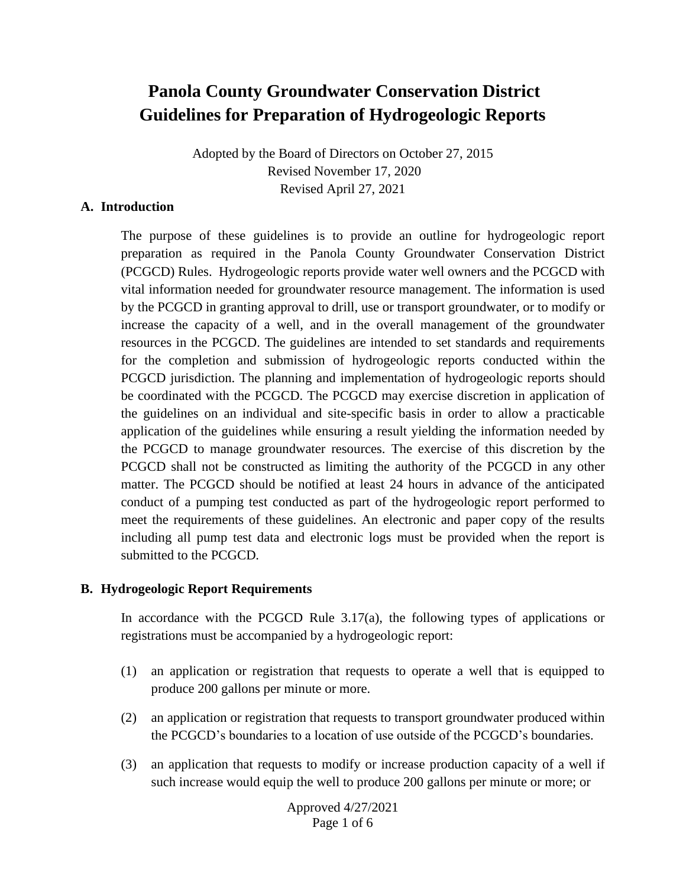# **Panola County Groundwater Conservation District Guidelines for Preparation of Hydrogeologic Reports**

Adopted by the Board of Directors on October 27, 2015 Revised November 17, 2020 Revised April 27, 2021

#### **A. Introduction**

The purpose of these guidelines is to provide an outline for hydrogeologic report preparation as required in the Panola County Groundwater Conservation District (PCGCD) Rules. Hydrogeologic reports provide water well owners and the PCGCD with vital information needed for groundwater resource management. The information is used by the PCGCD in granting approval to drill, use or transport groundwater, or to modify or increase the capacity of a well, and in the overall management of the groundwater resources in the PCGCD. The guidelines are intended to set standards and requirements for the completion and submission of hydrogeologic reports conducted within the PCGCD jurisdiction. The planning and implementation of hydrogeologic reports should be coordinated with the PCGCD. The PCGCD may exercise discretion in application of the guidelines on an individual and site-specific basis in order to allow a practicable application of the guidelines while ensuring a result yielding the information needed by the PCGCD to manage groundwater resources. The exercise of this discretion by the PCGCD shall not be constructed as limiting the authority of the PCGCD in any other matter. The PCGCD should be notified at least 24 hours in advance of the anticipated conduct of a pumping test conducted as part of the hydrogeologic report performed to meet the requirements of these guidelines. An electronic and paper copy of the results including all pump test data and electronic logs must be provided when the report is submitted to the PCGCD.

#### **B. Hydrogeologic Report Requirements**

In accordance with the PCGCD Rule 3.17(a), the following types of applications or registrations must be accompanied by a hydrogeologic report:

- (1) an application or registration that requests to operate a well that is equipped to produce 200 gallons per minute or more.
- (2) an application or registration that requests to transport groundwater produced within the PCGCD's boundaries to a location of use outside of the PCGCD's boundaries.
- (3) an application that requests to modify or increase production capacity of a well if such increase would equip the well to produce 200 gallons per minute or more; or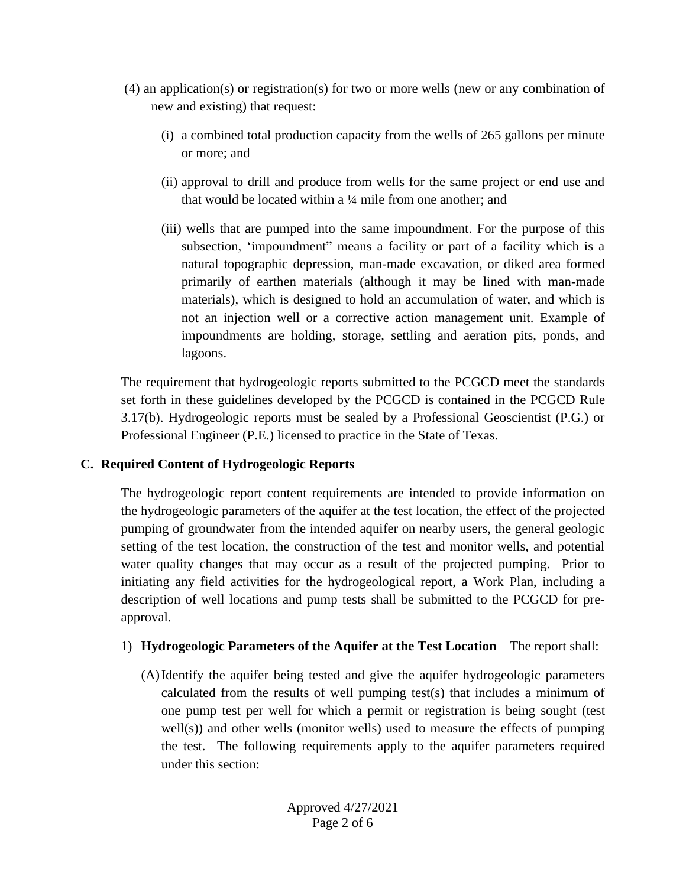- (4) an application(s) or registration(s) for two or more wells (new or any combination of new and existing) that request:
	- (i) a combined total production capacity from the wells of 265 gallons per minute or more; and
	- (ii) approval to drill and produce from wells for the same project or end use and that would be located within a ¼ mile from one another; and
	- (iii) wells that are pumped into the same impoundment. For the purpose of this subsection, 'impoundment" means a facility or part of a facility which is a natural topographic depression, man-made excavation, or diked area formed primarily of earthen materials (although it may be lined with man-made materials), which is designed to hold an accumulation of water, and which is not an injection well or a corrective action management unit. Example of impoundments are holding, storage, settling and aeration pits, ponds, and lagoons.

The requirement that hydrogeologic reports submitted to the PCGCD meet the standards set forth in these guidelines developed by the PCGCD is contained in the PCGCD Rule 3.17(b). Hydrogeologic reports must be sealed by a Professional Geoscientist (P.G.) or Professional Engineer (P.E.) licensed to practice in the State of Texas.

## **C. Required Content of Hydrogeologic Reports**

The hydrogeologic report content requirements are intended to provide information on the hydrogeologic parameters of the aquifer at the test location, the effect of the projected pumping of groundwater from the intended aquifer on nearby users, the general geologic setting of the test location, the construction of the test and monitor wells, and potential water quality changes that may occur as a result of the projected pumping. Prior to initiating any field activities for the hydrogeological report, a Work Plan, including a description of well locations and pump tests shall be submitted to the PCGCD for preapproval.

## 1) **Hydrogeologic Parameters of the Aquifer at the Test Location – The report shall:**

(A)Identify the aquifer being tested and give the aquifer hydrogeologic parameters calculated from the results of well pumping test(s) that includes a minimum of one pump test per well for which a permit or registration is being sought (test well(s)) and other wells (monitor wells) used to measure the effects of pumping the test. The following requirements apply to the aquifer parameters required under this section: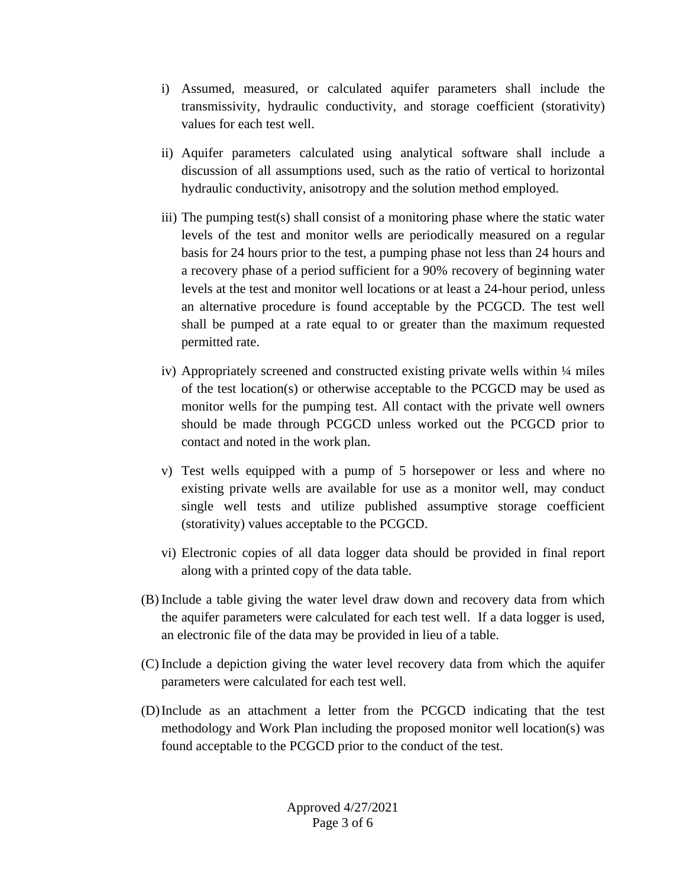- i) Assumed, measured, or calculated aquifer parameters shall include the transmissivity, hydraulic conductivity, and storage coefficient (storativity) values for each test well.
- ii) Aquifer parameters calculated using analytical software shall include a discussion of all assumptions used, such as the ratio of vertical to horizontal hydraulic conductivity, anisotropy and the solution method employed.
- iii) The pumping test(s) shall consist of a monitoring phase where the static water levels of the test and monitor wells are periodically measured on a regular basis for 24 hours prior to the test, a pumping phase not less than 24 hours and a recovery phase of a period sufficient for a 90% recovery of beginning water levels at the test and monitor well locations or at least a 24-hour period, unless an alternative procedure is found acceptable by the PCGCD. The test well shall be pumped at a rate equal to or greater than the maximum requested permitted rate.
- iv) Appropriately screened and constructed existing private wells within 1/4 miles of the test location(s) or otherwise acceptable to the PCGCD may be used as monitor wells for the pumping test. All contact with the private well owners should be made through PCGCD unless worked out the PCGCD prior to contact and noted in the work plan.
- v) Test wells equipped with a pump of 5 horsepower or less and where no existing private wells are available for use as a monitor well, may conduct single well tests and utilize published assumptive storage coefficient (storativity) values acceptable to the PCGCD.
- vi) Electronic copies of all data logger data should be provided in final report along with a printed copy of the data table.
- (B) Include a table giving the water level draw down and recovery data from which the aquifer parameters were calculated for each test well. If a data logger is used, an electronic file of the data may be provided in lieu of a table.
- (C) Include a depiction giving the water level recovery data from which the aquifer parameters were calculated for each test well.
- (D)Include as an attachment a letter from the PCGCD indicating that the test methodology and Work Plan including the proposed monitor well location(s) was found acceptable to the PCGCD prior to the conduct of the test.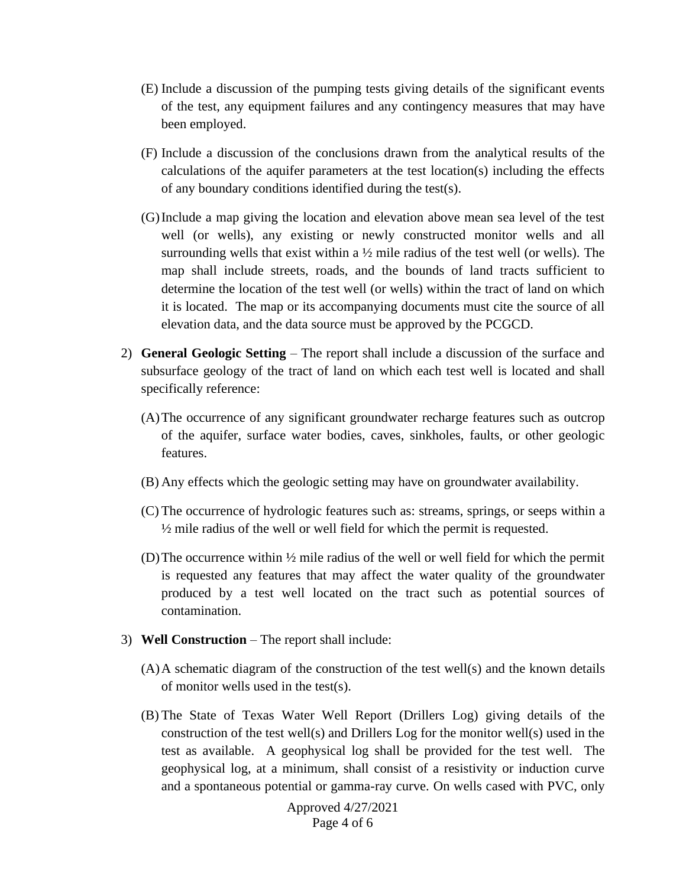- (E) Include a discussion of the pumping tests giving details of the significant events of the test, any equipment failures and any contingency measures that may have been employed.
- (F) Include a discussion of the conclusions drawn from the analytical results of the calculations of the aquifer parameters at the test location(s) including the effects of any boundary conditions identified during the test(s).
- (G)Include a map giving the location and elevation above mean sea level of the test well (or wells), any existing or newly constructed monitor wells and all surrounding wells that exist within a  $\frac{1}{2}$  mile radius of the test well (or wells). The map shall include streets, roads, and the bounds of land tracts sufficient to determine the location of the test well (or wells) within the tract of land on which it is located. The map or its accompanying documents must cite the source of all elevation data, and the data source must be approved by the PCGCD.
- 2) **General Geologic Setting** The report shall include a discussion of the surface and subsurface geology of the tract of land on which each test well is located and shall specifically reference:
	- (A)The occurrence of any significant groundwater recharge features such as outcrop of the aquifer, surface water bodies, caves, sinkholes, faults, or other geologic features.
	- (B) Any effects which the geologic setting may have on groundwater availability.
	- (C) The occurrence of hydrologic features such as: streams, springs, or seeps within a  $\frac{1}{2}$  mile radius of the well or well field for which the permit is requested.
	- (D) The occurrence within  $\frac{1}{2}$  mile radius of the well or well field for which the permit is requested any features that may affect the water quality of the groundwater produced by a test well located on the tract such as potential sources of contamination.
- 3) **Well Construction**  The report shall include:
	- (A)A schematic diagram of the construction of the test well(s) and the known details of monitor wells used in the test(s).
	- (B) The State of Texas Water Well Report (Drillers Log) giving details of the construction of the test well(s) and Drillers Log for the monitor well(s) used in the test as available. A geophysical log shall be provided for the test well. The geophysical log, at a minimum, shall consist of a resistivity or induction curve and a spontaneous potential or gamma-ray curve. On wells cased with PVC, only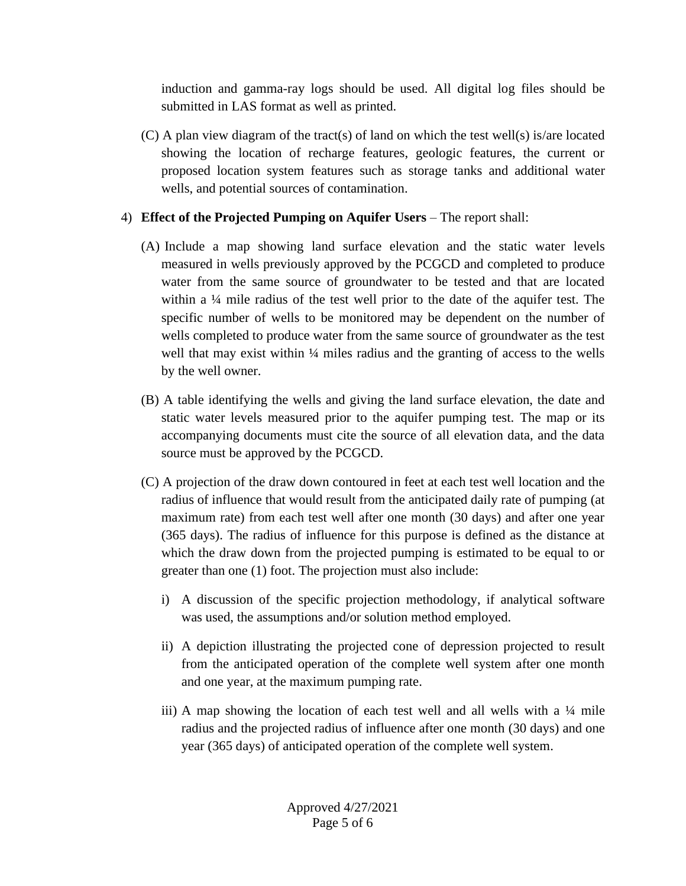induction and gamma-ray logs should be used. All digital log files should be submitted in LAS format as well as printed.

(C) A plan view diagram of the tract(s) of land on which the test well(s) is/are located showing the location of recharge features, geologic features, the current or proposed location system features such as storage tanks and additional water wells, and potential sources of contamination.

## 4) **Effect of the Projected Pumping on Aquifer Users** – The report shall:

- (A) Include a map showing land surface elevation and the static water levels measured in wells previously approved by the PCGCD and completed to produce water from the same source of groundwater to be tested and that are located within a ¼ mile radius of the test well prior to the date of the aquifer test. The specific number of wells to be monitored may be dependent on the number of wells completed to produce water from the same source of groundwater as the test well that may exist within  $\frac{1}{4}$  miles radius and the granting of access to the wells by the well owner.
- (B) A table identifying the wells and giving the land surface elevation, the date and static water levels measured prior to the aquifer pumping test. The map or its accompanying documents must cite the source of all elevation data, and the data source must be approved by the PCGCD.
- (C) A projection of the draw down contoured in feet at each test well location and the radius of influence that would result from the anticipated daily rate of pumping (at maximum rate) from each test well after one month (30 days) and after one year (365 days). The radius of influence for this purpose is defined as the distance at which the draw down from the projected pumping is estimated to be equal to or greater than one (1) foot. The projection must also include:
	- i) A discussion of the specific projection methodology, if analytical software was used, the assumptions and/or solution method employed.
	- ii) A depiction illustrating the projected cone of depression projected to result from the anticipated operation of the complete well system after one month and one year, at the maximum pumping rate.
	- iii) A map showing the location of each test well and all wells with a 1/4 mile radius and the projected radius of influence after one month (30 days) and one year (365 days) of anticipated operation of the complete well system.